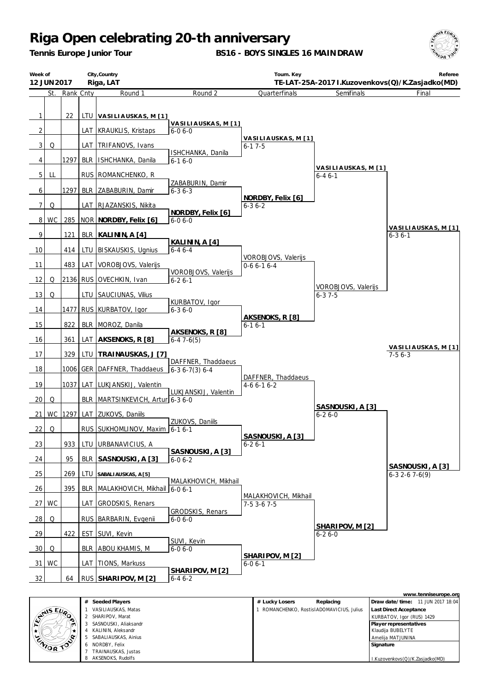*Tennis Europe Junior Tour*

**BS16 - BOYS SINGLES 16 MAINDRAW**



| City, Country<br>Week of<br>Riga, LAT<br>12 JUN 2017 |                                                                                                                         |               |            |                                    | Tourn. Key<br>Referee<br>TE-LAT-25A-2017 I.Kuzovenkovs(Q)/K.Zasjadko(MD) |                                     |                                     |                                     |  |
|------------------------------------------------------|-------------------------------------------------------------------------------------------------------------------------|---------------|------------|------------------------------------|--------------------------------------------------------------------------|-------------------------------------|-------------------------------------|-------------------------------------|--|
|                                                      |                                                                                                                         | St. Rank Cnty |            | Round 1                            | Round 2                                                                  | Quarterfinals                       | Semifinals                          | Final                               |  |
| $\mathbf{1}$                                         |                                                                                                                         | 22            |            | LTU   VASILIAUSKAS, M [1]          |                                                                          |                                     |                                     |                                     |  |
| $\overline{2}$                                       |                                                                                                                         |               |            | LAT   KRAUKLIS, Kristaps           | <u>VASILIAUSKAS, M[1]</u><br>$6-06-0$                                    |                                     |                                     |                                     |  |
| $\overline{3}$                                       | Q                                                                                                                       |               |            | LAT   TRIFANOVS, Ivans             |                                                                          | VASILIAUSKAS, M [1]<br>$6 - 17 - 5$ |                                     |                                     |  |
| 4                                                    |                                                                                                                         | 1297          | <b>BLR</b> | ISHCHANKA, Danila                  | ISHCHANKA, Danila<br>$6-16-0$                                            |                                     |                                     |                                     |  |
| 5 <sub>l</sub>                                       | LL                                                                                                                      |               |            | RUS ROMANCHENKO, R                 |                                                                          |                                     | VASILIAUSKAS, M [1]<br>$6 - 46 - 1$ |                                     |  |
| 6                                                    |                                                                                                                         | 1297          |            | BLR ZABABURIN, Damir               | ZABABURIN, Damir<br>$6 - 36 - 3$                                         |                                     |                                     |                                     |  |
| 7 <sup>1</sup>                                       | Q                                                                                                                       |               |            | LAT RJAZANSKIS, Nikita             |                                                                          | NORDBY, Felix [6]<br>$6 - 36 - 2$   |                                     |                                     |  |
|                                                      | 8 WC                                                                                                                    | 285           |            | NOR NORDBY, Felix [6]              | NORDBY, Felix [6]<br>$6 - 06 - 0$                                        |                                     |                                     |                                     |  |
| 9                                                    |                                                                                                                         | 121           |            | BLR   KALININ, A [4]               |                                                                          |                                     |                                     | VASILIAUSKAS, M [1]<br>$6 - 36 - 1$ |  |
| 10                                                   |                                                                                                                         | 414           |            | LTU   BISKAUSKIS, Ugnius           | KALININ, A [4]<br>$6 - 46 - 4$                                           |                                     |                                     |                                     |  |
|                                                      |                                                                                                                         | 483           |            |                                    |                                                                          | VOROBJOVS, Valerijs                 |                                     |                                     |  |
| 11                                                   |                                                                                                                         |               |            | LAT VOROBJOVS, Valerijs            | VOROBJOVS, Valerijs                                                      | $0-66-16-4$                         |                                     |                                     |  |
| <u>12   </u>                                         | Q                                                                                                                       |               |            | 2136 RUS OVECHKIN, Ivan            | $6 - 26 - 1$                                                             |                                     | VOROBJOVS, Valerijs                 |                                     |  |
| 13                                                   | Q                                                                                                                       |               |            | LTU SAUCIUNAS, Vilius              | KURBATOV, Igor                                                           |                                     | $6 - 37 - 5$                        |                                     |  |
| 14                                                   |                                                                                                                         |               |            | 1477 RUS KURBATOV, Igor            | $6 - 36 - 0$                                                             | AKSENOKS, R [8]                     |                                     |                                     |  |
| 15                                                   |                                                                                                                         | 822           |            | BLR MOROZ, Danila                  | AKSENOKS, R [8]                                                          | $6 - 16 - 1$                        |                                     |                                     |  |
| 16                                                   |                                                                                                                         | 361           | LAT        | AKSENOKS, R [8]                    | $6-47-6(5)$                                                              |                                     |                                     | VASILIAUSKAS, M[1]                  |  |
| 17                                                   |                                                                                                                         | 329           | LTU        | TRAINAUSKAS, J [7]                 | DAFFNER, Thaddaeus                                                       |                                     |                                     | $7-56-3$                            |  |
| 18                                                   |                                                                                                                         | 1006          | <b>GER</b> | DAFFNER, Thaddaeus                 | $6-36-7(3)6-4$                                                           | DAFFNER, Thaddaeus                  |                                     |                                     |  |
| 19                                                   |                                                                                                                         | 1037          |            | LAT LUKJANSKIJ, Valentin           |                                                                          | $4-66-16-2$                         |                                     |                                     |  |
| 20                                                   | Q                                                                                                                       |               |            | BLR   MARTSINKEVICH, Artur 6-3 6-0 | LUKJANSKIJ, Valentin                                                     |                                     |                                     |                                     |  |
| 211                                                  |                                                                                                                         |               |            | WC 1297 LAT ZUKOVS, Daniils        |                                                                          |                                     | SASNOUSKI, A [3]<br>$6 - 26 - 0$    |                                     |  |
| 22                                                   | Q                                                                                                                       |               |            | RUS SUKHOMLINOV, Maxim 6-1 6-1     | ZUKOVS, Daniils                                                          |                                     |                                     |                                     |  |
| 23                                                   |                                                                                                                         | 933           | LTU        | URBANAVICIUS, A                    |                                                                          | SASNOUSKI, A [3]<br>$6 - 26 - 1$    |                                     |                                     |  |
| 24                                                   |                                                                                                                         | 95            | BLR        | SASNOUSKI, A [3]                   | SASNOUSKI, A [3]<br>$6 - 06 - 2$                                         |                                     |                                     |                                     |  |
| 25                                                   |                                                                                                                         | 269           | LTU        | SABALIAUSKAS, A [5]                |                                                                          |                                     |                                     | SASNOUSKI, A [3]<br>$6-32-67-6(9)$  |  |
| 26                                                   |                                                                                                                         | 395           |            | BLR   MALAKHOVICH, Mikhail         | MALAKHOVICH, Mikhail<br>$6 - 06 - 1$                                     |                                     |                                     |                                     |  |
|                                                      | 27 WC                                                                                                                   |               |            | LAT GRODSKIS, Renars               |                                                                          | MALAKHOVICH, Mikhail<br>7-5 3-6 7-5 |                                     |                                     |  |
|                                                      |                                                                                                                         |               |            |                                    | GRODSKIS, Renars                                                         |                                     |                                     |                                     |  |
| 28                                                   | Q                                                                                                                       |               |            | RUS   BARBARIN, Evgenii            | $6 - 06 - 0$                                                             |                                     | SHARIPOV, M [2]                     |                                     |  |
| <u>29</u>                                            |                                                                                                                         | 422           | EST        | SUVI, Kevin                        | SUVI, Kevin                                                              |                                     | $6 - 26 - 0$                        |                                     |  |
| 30 <sup>1</sup>                                      | Q                                                                                                                       |               |            | BLR   ABOU KHAMIS, M               | $6 - 06 - 0$                                                             | SHARIPOV, M [2]                     |                                     |                                     |  |
| 31                                                   | WC                                                                                                                      |               |            | LAT   TIONS, Markuss               | SHARIPOV, M [2]                                                          | $6 - 06 - 1$                        |                                     |                                     |  |
| 32<br>64<br>RUS SHARIPOV, M [2]<br>$6 - 46 - 2$      |                                                                                                                         |               |            |                                    |                                                                          |                                     |                                     |                                     |  |
|                                                      | www.tenniseurope.org<br># Seeded Players<br>$\#$ Lucky Losars<br>Draw date/time: 11 IIIN 2017 18:04<br><b>Penlacing</b> |               |            |                                    |                                                                          |                                     |                                     |                                     |  |

|                    | # Seeded Players           | Replacing<br># Lucky Losers             | Draw date/time: 11 JUN 2017 18:04 |
|--------------------|----------------------------|-----------------------------------------|-----------------------------------|
|                    | VASILIAUSKAS, Matas        | ROMANCHENKO, RostisIADOMAVICIUS, Julius | Last Direct Acceptance            |
| <b>ANSEUP</b><br>◚ | 2 SHARIPOV, Marat          |                                         | KURBATOV, Igor (RUS) 1429         |
| m                  | SASNOUSKI, Aliaksandr      |                                         | Player representatives            |
|                    | KALININ, Aleksandr         |                                         | Klaudija BUBELYTE                 |
|                    | SABALIAUSKAS, Ainius<br>b. |                                         | Ameliia MATJUNINA                 |
| ENIOR TOP          | 6 NORDBY, Felix            |                                         | Signature                         |
|                    | TRAINAUSKAS, Justas        |                                         |                                   |
|                    | AKSENOKS, Rudolfs          |                                         | I.Kuzovenkovs(Q)/K.Zasjadko(MD)   |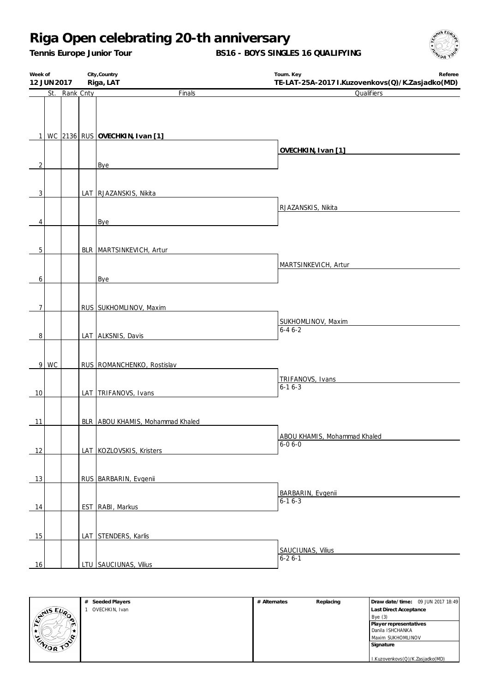*Tennis Europe Junior Tour*

**BS16 - BOYS SINGLES 16 QUALIFYING**



| Week of        | 12 JUN 2017 |           | City, Country<br>Riga, LAT       | Tourn. Key<br>Referee<br>TE-LAT-25A-2017 I.Kuzovenkovs(Q)/K.Zasjadko(MD) |
|----------------|-------------|-----------|----------------------------------|--------------------------------------------------------------------------|
|                | St.         | Rank Cnty | Finals                           | Qualifiers                                                               |
|                |             |           |                                  |                                                                          |
|                |             |           |                                  |                                                                          |
|                |             |           |                                  |                                                                          |
|                |             |           | 1 WC 2136 RUS OVECHKIN, Ivan [1] |                                                                          |
|                |             |           |                                  | OVECHKIN, Ivan [1]                                                       |
| $\overline{2}$ |             |           | Bye                              |                                                                          |
|                |             |           |                                  |                                                                          |
|                |             |           |                                  |                                                                          |
| $\overline{3}$ |             |           | LAT RJAZANSKIS, Nikita           |                                                                          |
|                |             |           |                                  | RJAZANSKIS, Nikita                                                       |
| 4              |             |           | Bye                              |                                                                          |
|                |             |           |                                  |                                                                          |
|                |             |           |                                  |                                                                          |
| $\overline{5}$ |             |           | BLR MARTSINKEVICH, Artur         |                                                                          |
|                |             |           |                                  | MARTSINKEVICH, Artur                                                     |
| 6              |             |           | Bye                              |                                                                          |
|                |             |           |                                  |                                                                          |
| 7              |             |           | RUS SUKHOMLINOV, Maxim           |                                                                          |
|                |             |           |                                  | SUKHOMLINOV, Maxim                                                       |
|                |             |           |                                  | $6 - 46 - 2$                                                             |
| 8              |             |           | LAT ALKSNIS, Davis               |                                                                          |
|                |             |           |                                  |                                                                          |
|                | 9 WC        |           | RUS   ROMANCHENKO, Rostislav     |                                                                          |
|                |             |           |                                  | TRIFANOVS, Ivans                                                         |
| 10             |             |           | LAT TRIFANOVS, Ivans             | $6 - 16 - 3$                                                             |
|                |             |           |                                  |                                                                          |
|                |             |           |                                  |                                                                          |
| 11             |             |           | BLR ABOU KHAMIS, Mohammad Khaled |                                                                          |
|                |             |           |                                  | ABOU KHAMIS, Mohammad Khaled                                             |
| 12             |             |           | LAT KOZLOVSKIS, Kristers         | 6-0 6-0                                                                  |
|                |             |           |                                  |                                                                          |
| 13             |             |           | RUS BARBARIN, Evgenii            |                                                                          |
|                |             |           |                                  |                                                                          |
|                |             |           |                                  | BARBARIN, Evgenii<br>$6-16-3$                                            |
| 14             |             |           | EST RABI, Markus                 |                                                                          |
|                |             |           |                                  |                                                                          |
| 15             |             |           | LAT STENDERS, Karlis             |                                                                          |
|                |             |           |                                  | SAUCIUNAS, Vilius                                                        |
| 16             |             |           | LTU SAUCIUNAS, Vilius            | $6 - 26 - 1$                                                             |
|                |             |           |                                  |                                                                          |

|                   | Seeded Players<br># | # Alternates | Replacing | Draw date/time: 09 JUN 2017 18:49 |
|-------------------|---------------------|--------------|-----------|-----------------------------------|
|                   | OVECHKIN, Ivan      |              |           | Last Direct Acceptance            |
| ANS EVA           |                     |              |           | Bye(3)                            |
| т٦                |                     |              |           | Player representatives            |
|                   |                     |              |           | Danila ISHCHANKA                  |
| ്രം.<br>ENIOR TOP |                     |              |           | Maxim SUKHOMLINOV                 |
|                   |                     |              |           | Signature                         |
|                   |                     |              |           |                                   |
|                   |                     |              |           | I.Kuzovenkovs(Q)/K.Zasjadko(MD)   |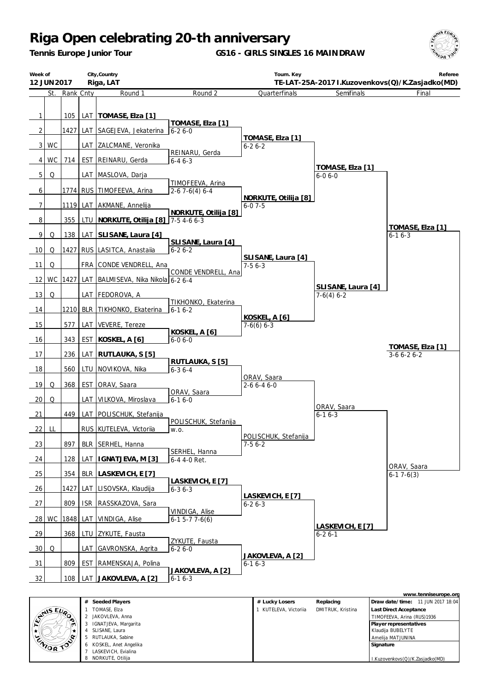*Tennis Europe Junior Tour*

**GS16 - GIRLS SINGLES 16 MAINDRAW**



| City, Country<br>Week of<br>Riga, LAT<br>12 JUN 2017 |                                       |               |            | Tourn. Key<br>Referee<br>TE-LAT-25A-2017 I.Kuzovenkovs(Q)/K.Zasjadko(MD) |                                         |                                      |                                    |                                  |  |
|------------------------------------------------------|---------------------------------------|---------------|------------|--------------------------------------------------------------------------|-----------------------------------------|--------------------------------------|------------------------------------|----------------------------------|--|
|                                                      |                                       | St. Rank Cnty |            | Round 1                                                                  | Round 2                                 | Quarterfinals                        | Semifinals                         | Final                            |  |
| $\mathbf{1}$                                         |                                       | 105           |            | LAT   TOMASE, Elza [1]                                                   | TOMASE, Elza [1]                        |                                      |                                    |                                  |  |
| $\overline{2}$                                       |                                       | 1427          | LAT        | SAGEJEVA, Jekaterina                                                     | $6 - 26 - 0$                            |                                      |                                    |                                  |  |
| $\overline{3}$                                       | WC                                    |               |            | LAT ZALCMANE, Veronika                                                   |                                         | TOMASE, Elza [1]<br>$6 - 26 - 2$     |                                    |                                  |  |
| 4 <sup>1</sup>                                       | <b>WC</b>                             | 714           | <b>EST</b> | REINARU, Gerda                                                           | REINARU, Gerda<br>$6 - 46 - 3$          |                                      |                                    |                                  |  |
| $\overline{5}$                                       | Q                                     |               | LAT        | MASLOVA, Darja                                                           |                                         |                                      | TOMASE, Elza [1]<br>$6 - 06 - 0$   |                                  |  |
| 6                                                    |                                       |               |            | 1774   RUS   TIMOFEEVA, Arina                                            | TIMOFEEVA, Arina<br>$2-67-6(4)6-4$      |                                      |                                    |                                  |  |
| $\overline{7}$                                       |                                       |               |            | 1119 LAT AKMANE, Annelija                                                |                                         | NORKUTE, Otilija [8]<br>$6 - 07 - 5$ |                                    |                                  |  |
| 8                                                    |                                       | 355           |            | LTU   NORKUTE, Otilija [8]   7-5 4-6 6-3                                 | NORKUTE, Otilija [8]                    |                                      |                                    |                                  |  |
| 9                                                    | Q                                     | 138           |            | LAT SLISANE, Laura [4]                                                   |                                         |                                      |                                    | TOMASE, Elza [1]<br>$6 - 16 - 3$ |  |
| 10                                                   | Q                                     |               |            | 1427 RUS LASITCA, Anastalia                                              | SLISANE, Laura [4]<br>$6 - 26 - 2$      |                                      |                                    |                                  |  |
| 11                                                   | Q                                     |               |            | FRA CONDE VENDRELL, Ana                                                  |                                         | SLISANE, Laura [4]<br>$7-56-3$       |                                    |                                  |  |
| 12                                                   | WC                                    | 1427          |            | LAT BALMISEVA, Nika Nikola 6-2 6-4                                       | CONDE VENDRELL, Ana                     |                                      |                                    |                                  |  |
| 13                                                   | Q                                     |               |            | LAT   FEDOROVA, A                                                        |                                         |                                      | SLISANE, Laura [4]<br>$7-6(4)$ 6-2 |                                  |  |
| 14                                                   |                                       |               |            | 1210 BLR TIKHONKO, Ekaterina                                             | TIKHONKO, Ekaterina<br>$6 - 16 - 2$     |                                      |                                    |                                  |  |
| 15                                                   |                                       | 577           | LAT        | VEVERE, Tereze                                                           |                                         | KOSKEL, A [6]<br>$7-6(6)$ 6-3        |                                    |                                  |  |
| 16                                                   |                                       | 343           | <b>EST</b> | KOSKEL, A [6]                                                            | KOSKEL, A [6]<br>$6 - 06 - 0$           |                                      |                                    |                                  |  |
| 17                                                   |                                       | 236           |            | LAT RUTLAUKA, S [5]                                                      |                                         |                                      |                                    | TOMASE, Elza [1]<br>$3-66-26-2$  |  |
| 18                                                   |                                       | 560           |            | LTU NOVIKOVA, Nika                                                       | RUTLAUKA, S [5]<br>$6 - 36 - 4$         |                                      |                                    |                                  |  |
| 19                                                   | Q                                     | 368           | <b>EST</b> | ORAV, Saara                                                              |                                         | ORAV, Saara<br>2-6 6-4 6-0           |                                    |                                  |  |
| 20                                                   | Q                                     |               | LAT        | VILKOVA, Miroslava                                                       | ORAV, Saara<br>$6 - 16 - 0$             |                                      |                                    |                                  |  |
| $\overline{21}$                                      |                                       | 449           | LAT        | POLISCHUK, Stefanija                                                     |                                         |                                      | ORAV, Saara<br>$6 - 16 - 3$        |                                  |  |
| 22                                                   | LL                                    |               |            | RUS KUTELEVA, Victoriia                                                  | POLISCHUK, Stefanija<br>W.O.            |                                      |                                    |                                  |  |
| 23                                                   |                                       | 897           | <b>BLR</b> | SERHEL, Hanna                                                            |                                         | POLISCHUK, Stefanija<br>$7-56-2$     |                                    |                                  |  |
| 24                                                   |                                       | 128           | LAT        | IGNATJEVA, M [3]                                                         | SERHEL, Hanna<br>6-4 4-0 Ret.           |                                      |                                    |                                  |  |
| 25                                                   |                                       | 354           | <b>BLR</b> | LASKEVICH, E [7]                                                         |                                         |                                      |                                    | ORAV, Saara<br>$6-17-6(3)$       |  |
| 26                                                   |                                       | 1427          | LAT        | LISOVSKA, Klaudija                                                       | LASKEVICH, E [7]<br>$6 - 36 - 3$        |                                      |                                    |                                  |  |
| 27                                                   |                                       | 809           | <b>ISR</b> | RASSKAZOVA, Sara                                                         |                                         | LASKEVICH, E [7]<br>$6 - 26 - 3$     |                                    |                                  |  |
| 28                                                   | <b>WC</b>                             | 1848          | LAT        | VINDIGA, Alise                                                           | VINDIGA, Alise<br>$6-1$ 5-7 7-6(6)      |                                      |                                    |                                  |  |
| 29                                                   |                                       | 368           |            | LTU ZYKUTE, Fausta                                                       |                                         |                                      | LASKEVICH, E [7]<br>$6 - 26 - 1$   |                                  |  |
| 30                                                   | Q                                     |               | LAT        | GAVRONSKA, Agrita                                                        | ZYKUTE, Fausta<br>$6 - 26 - 0$          |                                      |                                    |                                  |  |
| 31                                                   |                                       | 809           | <b>EST</b> | RAMENSKAJA, Polina                                                       |                                         | JAKOVLEVA, A [2]<br>$6 - 16 - 3$     |                                    |                                  |  |
| 32                                                   |                                       | 108           |            | LAT JAKOVLEVA, A [2]                                                     | <u>JAKOVLEVA, A [2]</u><br>$6 - 16 - 3$ |                                      |                                    |                                  |  |
|                                                      | www.tenniseurope.org<br># Cooded Dlou |               |            |                                                                          |                                         |                                      |                                    |                                  |  |

|                     | Seeded Players<br>#       | # Lucky Losers      | Replacing         | Draw date/time: 11 JUN 2017 18:04 |
|---------------------|---------------------------|---------------------|-------------------|-----------------------------------|
|                     | TOMASE, Elza              | KUTELEVA, Victoriia | DMITRUK, Kristina | <b>Last Direct Acceptance</b>     |
| <b>ANSEUR</b><br>∙ಾ | JAKOVLEVA, Anna           |                     |                   | TIMOFEEVA, Arina (RUS)1936        |
| ۱M                  | IGNATJEVA, Margarita<br>3 |                     |                   | Player representatives            |
|                     | SLISANE, Laura            |                     |                   | Klaudija BUBELYTE                 |
|                     | RUTLAUKA, Sabine<br>5.    |                     |                   | Amelija MATJUNINA                 |
| ENIOR TOP           | 6 KOSKEL, Anet Angelika   |                     |                   | Signature                         |
|                     | LASKEVICH, Evialina       |                     |                   |                                   |
|                     | NORKUTE, Otilija<br>8     |                     |                   | I.Kuzovenkovs(Q)/K.Zasjadko(MD)   |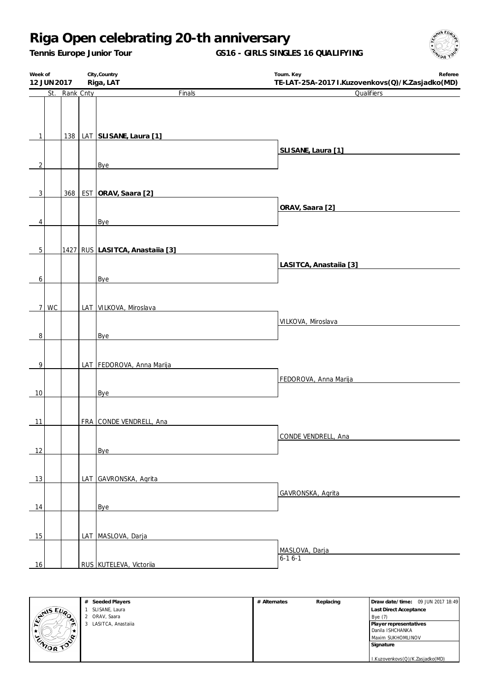*Tennis Europe Junior Tour*

**GS16 - GIRLS SINGLES 16 QUALIFYING**



| Week of              |               | City, Country                   | Tourn. Key<br>Referee                           |
|----------------------|---------------|---------------------------------|-------------------------------------------------|
| 12 JUN 2017          |               | Riga, LAT                       | TE-LAT-25A-2017 I.Kuzovenkovs(Q)/K.Zasjadko(MD) |
|                      | St. Rank Cnty | Finals                          | Qualifiers                                      |
|                      |               |                                 |                                                 |
|                      |               |                                 |                                                 |
| $\vert$ 1            |               | 138   LAT SLISANE, Laura [1]    |                                                 |
|                      |               |                                 |                                                 |
|                      |               |                                 | SLISANE, Laura [1]                              |
| $\overline{2}$       |               | Bye                             |                                                 |
|                      |               |                                 |                                                 |
|                      |               | 368 EST ORAV, Saara [2]         |                                                 |
| $\overline{3}$       |               |                                 |                                                 |
|                      |               |                                 | ORAV, Saara [2]                                 |
| 4                    |               | Bye                             |                                                 |
|                      |               |                                 |                                                 |
| 5                    |               | 1427 RUS LASITCA, Anastalia [3] |                                                 |
|                      |               |                                 |                                                 |
|                      |               |                                 | LASITCA, Anastalia [3]                          |
| $\boldsymbol{6}$     |               | Bye                             |                                                 |
|                      |               |                                 |                                                 |
| 7 <sup>1</sup><br>WC |               | LAT VILKOVA, Miroslava          |                                                 |
|                      |               |                                 |                                                 |
|                      |               |                                 | VILKOVA, Miroslava                              |
| 8                    |               | Bye                             |                                                 |
|                      |               |                                 |                                                 |
| 9                    |               | LAT FEDOROVA, Anna Marija       |                                                 |
|                      |               |                                 |                                                 |
|                      |               |                                 | FEDOROVA, Anna Marija                           |
| 10                   |               | Bye                             |                                                 |
|                      |               |                                 |                                                 |
| 11                   |               | FRA CONDE VENDRELL, Ana         |                                                 |
|                      |               |                                 |                                                 |
|                      |               |                                 | CONDE VENDRELL, Ana                             |
| 12                   |               | Bye                             |                                                 |
|                      |               |                                 |                                                 |
| 13                   |               | LAT GAVRONSKA, Agrita           |                                                 |
|                      |               |                                 |                                                 |
|                      |               |                                 | GAVRONSKA, Agrita                               |
| 14                   |               | Bye                             |                                                 |
|                      |               |                                 |                                                 |
|                      |               |                                 |                                                 |
| 15                   |               | LAT MASLOVA, Darja              |                                                 |
|                      |               |                                 | MASLOVA, Darja<br>$6-16-1$                      |
| 16                   |               | RUS KUTELEVA, Victoriia         |                                                 |

|                | # Seeded Players   | # Alternates | Replacing | Draw date/time: 09 JUN 2017 18:49 |
|----------------|--------------------|--------------|-----------|-----------------------------------|
| <b>ANS EUP</b> | SLISANE, Laura     |              |           | Last Direct Acceptance            |
| $\sim$         | ORAV, Saara        |              |           | Bye (7)                           |
| m              | LASITCA, Anastalla |              |           | Player representatives            |
|                |                    |              |           | Danila ISHCHANKA                  |
| œ.             |                    |              |           | Maxim SUKHOMLINOV                 |
| ENIOR TO       |                    |              |           | Signature                         |
|                |                    |              |           |                                   |
|                |                    |              |           | I.Kuzovenkovs(Q)/K.Zasjadko(MD)   |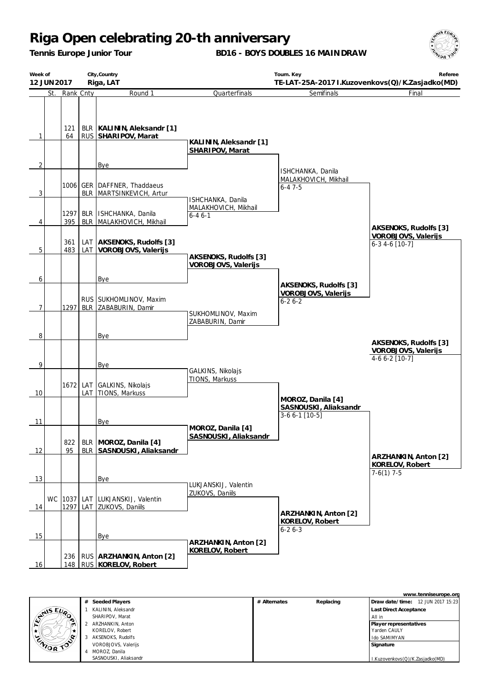*Tennis Europe Junior Tour*

**BD16 - BOYS DOUBLES 16 MAINDRAW**



|                | Week of<br>City, Country<br>12 JUN 2017 |            |                 |                                                              |                                              | Tourn. Key<br>Referee<br>TE-LAT-25A-2017 I.Kuzovenkovs(Q)/K.Zasjadko(MD) |                                                                  |  |
|----------------|-----------------------------------------|------------|-----------------|--------------------------------------------------------------|----------------------------------------------|--------------------------------------------------------------------------|------------------------------------------------------------------|--|
|                |                                         |            |                 | Riga, LAT                                                    |                                              |                                                                          |                                                                  |  |
|                | St.                                     | Rank Cnty  |                 | Round 1                                                      | Quarterfinals                                | Semifinals                                                               | Final                                                            |  |
| 1              |                                         | 121<br>64  |                 | BLR   KALININ, Aleksandr [1]<br>RUS SHARIPOV, Marat          | KALININ, Aleksandr [1]                       |                                                                          |                                                                  |  |
|                |                                         |            |                 |                                                              | SHARIPOV, Marat                              |                                                                          |                                                                  |  |
| $\overline{2}$ |                                         |            |                 | Bye                                                          |                                              |                                                                          |                                                                  |  |
| $\mathbf{3}$   |                                         |            |                 | 1006 GER DAFFNER, Thaddaeus<br>BLR MARTSINKEVICH, Artur      | ISHCHANKA, Danila                            | ISHCHANKA, Danila<br>MALAKHOVICH, Mikhail<br>$6 - 47 - 5$                |                                                                  |  |
|                |                                         |            | 1297 BLR        | ISHCHANKA, Danila                                            | MALAKHOVICH, Mikhail                         |                                                                          |                                                                  |  |
| 4              |                                         | 395        |                 | BLR MALAKHOVICH, Mikhail                                     | $6 - 46 - 1$                                 |                                                                          |                                                                  |  |
| 5              |                                         | 361<br>483 | LAT             | AKSENOKS, Rudolfs [3]<br>LAT VOROBJOVS, Valerijs             |                                              |                                                                          | AKSENOKS, Rudolfs [3]<br>VOROBJOVS, Valerijs<br>$6-3$ 4-6 [10-7] |  |
|                |                                         |            |                 |                                                              | AKSENOKS, Rudolfs [3]<br>VOROBJOVS, Valerijs |                                                                          |                                                                  |  |
|                |                                         |            |                 |                                                              |                                              |                                                                          |                                                                  |  |
| 6              |                                         |            |                 | Bye                                                          |                                              | AKSENOKS, Rudolfs [3]                                                    |                                                                  |  |
| $\overline{7}$ |                                         |            |                 | RUS SUKHOMLINOV, Maxim<br>1297 BLR ZABABURIN, Damir          |                                              | VOROBJOVS, Valerijs<br>$6 - 26 - 2$                                      |                                                                  |  |
|                |                                         |            |                 |                                                              | SUKHOMLINOV, Maxim<br>ZABABURIN, Damir       |                                                                          |                                                                  |  |
| 8              |                                         |            |                 | <b>Bye</b>                                                   |                                              |                                                                          |                                                                  |  |
|                |                                         |            |                 |                                                              |                                              |                                                                          | AKSENOKS, Rudolfs [3]<br>VOROBJOVS, Valerijs<br>4-6 6-2 [10-7]   |  |
| 9              |                                         |            |                 | Bye                                                          | GALKINS, Nikolajs                            |                                                                          |                                                                  |  |
|                |                                         |            |                 |                                                              | TIONS, Markuss                               |                                                                          |                                                                  |  |
| 10             |                                         |            | 1672 LAT<br>LAT | GALKINS, Nikolajs<br>TIONS, Markuss                          |                                              |                                                                          |                                                                  |  |
|                |                                         |            |                 |                                                              |                                              | MOROZ, Danila [4]<br>SASNOUSKI, Aliaksandr<br>$3-66-1$ [10-5]            |                                                                  |  |
| 11             |                                         |            |                 | Bye                                                          | MOROZ, Danila [4]                            |                                                                          |                                                                  |  |
| 12             |                                         | 822<br>95  |                 | BLR   MOROZ, Danila [4]<br>BLR SASNOUSKI, Aliaksandr         | SASNOUSKI, Aliaksandr                        |                                                                          |                                                                  |  |
|                |                                         |            |                 |                                                              |                                              |                                                                          | ARZHANKIN, Anton [2]<br>KORELOV, Robert<br>$7-6(1)$ 7-5          |  |
| 13             |                                         |            |                 | Bye                                                          | LUKJANSKIJ, Valentin                         |                                                                          |                                                                  |  |
| 14             |                                         |            |                 | WC 1037 LAT LUKJANSKIJ, Valentin<br>1297 LAT ZUKOVS, Daniils | ZUKOVS, Daniils                              |                                                                          |                                                                  |  |
|                |                                         |            |                 |                                                              |                                              | ARZHANKIN, Anton [2]<br>KORELOV, Robert<br>$6 - 26 - 3$                  |                                                                  |  |
| 15             |                                         |            |                 | Bye                                                          | ARZHANKIN, Anton [2]                         |                                                                          |                                                                  |  |
| 16             |                                         |            |                 | 236   RUS   ARZHANKIN, Anton [2]<br>148 RUS KORELOV, Robert  | KORELOV, Robert                              |                                                                          |                                                                  |  |